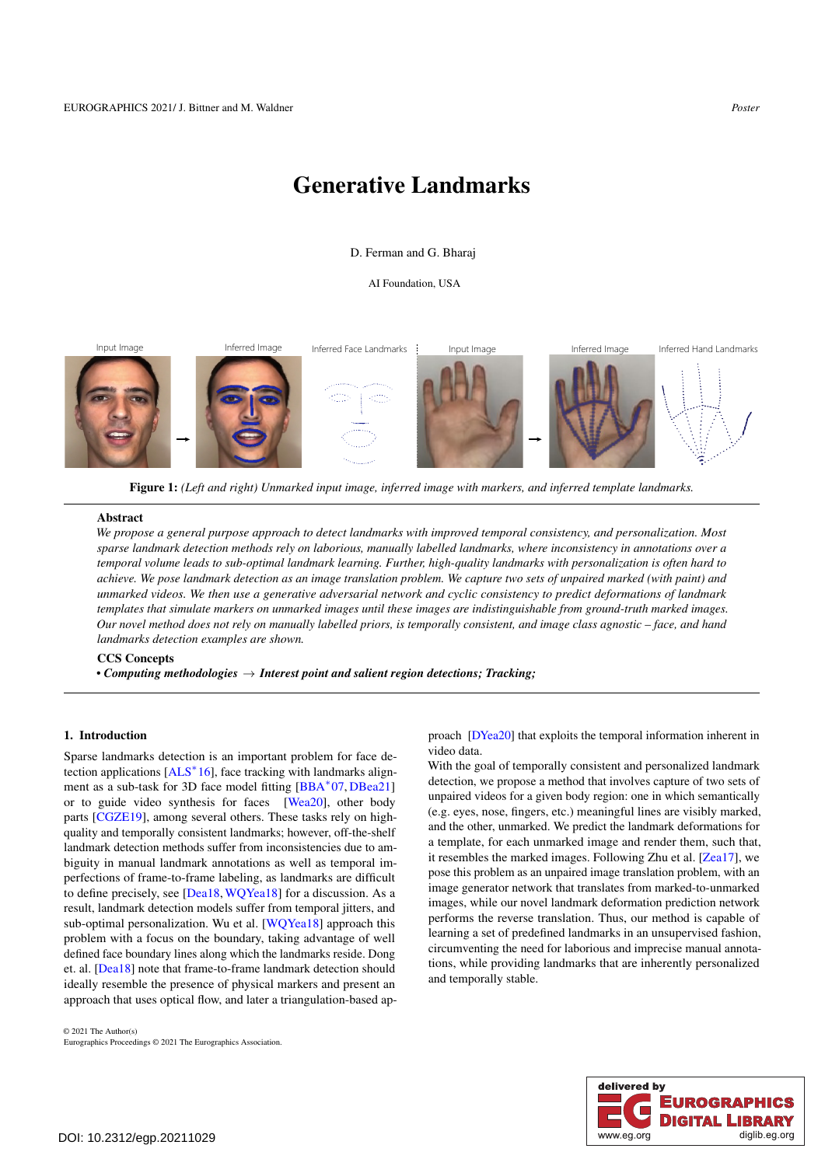# <span id="page-0-1"></span>Generative Landmarks

### D. Ferman and G. Bharaj

AI Foundation, USA

Input Image Inferred Image Inferred Face Landmarks Input Image Inferred Image Inferred Hand Landmarks

Figure 1: *(Left and right) Unmarked input image, inferred image with markers, and inferred template landmarks.*

#### Abstract

*We propose a general purpose approach to detect landmarks with improved temporal consistency, and personalization. Most sparse landmark detection methods rely on laborious, manually labelled landmarks, where inconsistency in annotations over a temporal volume leads to sub-optimal landmark learning. Further, high-quality landmarks with personalization is often hard to achieve. We pose landmark detection as an image translation problem. We capture two sets of unpaired marked (with paint) and unmarked videos. We then use a generative adversarial network and cyclic consistency to predict deformations of landmark templates that simulate markers on unmarked images until these images are indistinguishable from ground-truth marked images. Our novel method does not rely on manually labelled priors, is temporally consistent, and image class agnostic – face, and hand landmarks detection examples are shown.*

### CCS Concepts

*• Computing methodologies* → *Interest point and salient region detections; Tracking;*

## <span id="page-0-0"></span>1. Introduction

Sparse landmarks detection is an important problem for face de-tection applications [\[ALS](#page-1-0)<sup>∗</sup>16], face tracking with landmarks align-ment as a sub-task for 3D face model fitting [\[BBA](#page-1-1)<sup>\*</sup>07, [DBea21\]](#page-1-2) or to guide video synthesis for faces [\[Wea20\]](#page-1-3), other body parts [\[CGZE19\]](#page-1-4), among several others. These tasks rely on highquality and temporally consistent landmarks; however, off-the-shelf landmark detection methods suffer from inconsistencies due to ambiguity in manual landmark annotations as well as temporal imperfections of frame-to-frame labeling, as landmarks are difficult to define precisely, see [\[Dea18,](#page-1-5)[WQYea18\]](#page-1-6) for a discussion. As a result, landmark detection models suffer from temporal jitters, and sub-optimal personalization. Wu et al. [\[WQYea18\]](#page-1-6) approach this problem with a focus on the boundary, taking advantage of well defined face boundary lines along which the landmarks reside. Dong et. al. [\[Dea18\]](#page-1-5) note that frame-to-frame landmark detection should ideally resemble the presence of physical markers and present an approach that uses optical flow, and later a triangulation-based ap-

© 2021 The Author(s) Eurographics Proceedings © 2021 The Eurographics Association. proach [\[DYea20\]](#page-1-7) that exploits the temporal information inherent in video data.

With the goal of temporally consistent and personalized landmark detection, we propose a method that involves capture of two sets of unpaired videos for a given body region: one in which semantically (e.g. eyes, nose, fingers, etc.) meaningful lines are visibly marked, and the other, unmarked. We predict the landmark deformations for a template, for each unmarked image and render them, such that, it resembles the marked images. Following Zhu et al. [\[Zea17\]](#page-1-8), we pose this problem as an unpaired image translation problem, with an image generator network that translates from marked-to-unmarked images, while our novel landmark deformation prediction network performs the reverse translation. Thus, our method is capable of learning a set of predefined landmarks in an unsupervised fashion, circumventing the need for laborious and imprecise manual annotations, while providing landmarks that are inherently personalized and temporally stable.